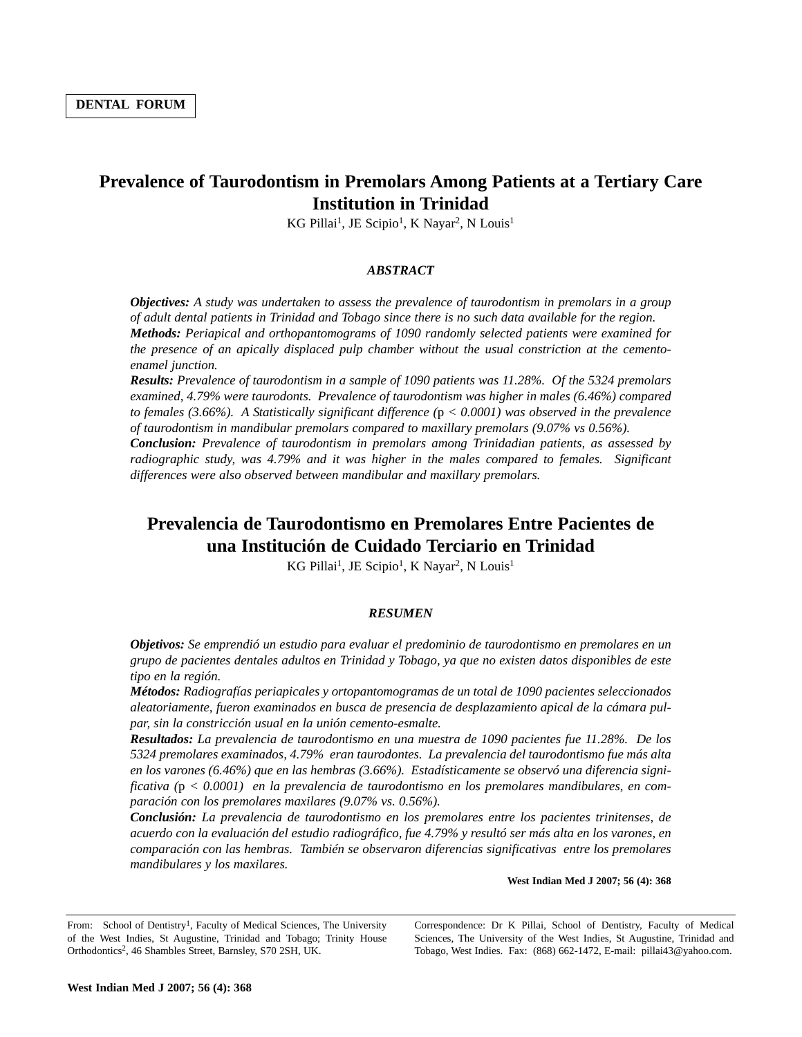# **Prevalence of Taurodontism in Premolars Among Patients at a Tertiary Care Institution in Trinidad**

KG Pillai<sup>1</sup>, JE Scipio<sup>1</sup>, K Nayar<sup>2</sup>, N Louis<sup>1</sup>

### *ABSTRACT*

*Objectives: A study was undertaken to assess the prevalence of taurodontism in premolars in a group of adult dental patients in Trinidad and Tobago since there is no such data available for the region. Methods: Periapical and orthopantomograms of 1090 randomly selected patients were examined for the presence of an apically displaced pulp chamber without the usual constriction at the cementoenamel junction.*

*Results: Prevalence of taurodontism in a sample of 1090 patients was 11.28%. Of the 5324 premolars examined, 4.79% were taurodonts. Prevalence of taurodontism was higher in males (6.46%) compared to females (3.66%). A Statistically significant difference (*p *< 0.0001) was observed in the prevalence of taurodontism in mandibular premolars compared to maxillary premolars (9.07% vs 0.56%).* 

*Conclusion: Prevalence of taurodontism in premolars among Trinidadian patients, as assessed by radiographic study, was 4.79% and it was higher in the males compared to females. Significant differences were also observed between mandibular and maxillary premolars.*

# **Prevalencia de Taurodontismo en Premolares Entre Pacientes de una Institución de Cuidado Terciario en Trinidad**

KG Pillai<sup>1</sup>, JE Scipio<sup>1</sup>, K Nayar<sup>2</sup>, N Louis<sup>1</sup>

#### *RESUMEN*

*Objetivos: Se emprendió un estudio para evaluar el predominio de taurodontismo en premolares en un grupo de pacientes dentales adultos en Trinidad y Tobago, ya que no existen datos disponibles de este tipo en la región.* 

*Métodos: Radiografías periapicales y ortopantomogramas de un total de 1090 pacientes seleccionados aleatoriamente, fueron examinados en busca de presencia de desplazamiento apical de la cámara pulpar, sin la constricción usual en la unión cemento-esmalte.* 

*Resultados: La prevalencia de taurodontismo en una muestra de 1090 pacientes fue 11.28%. De los 5324 premolares examinados, 4.79% eran taurodontes. La prevalencia del taurodontismo fue más alta en los varones (6.46%) que en las hembras (3.66%). Estadísticamente se observó una diferencia significativa (*p *< 0.0001) en la prevalencia de taurodontismo en los premolares mandibulares, en comparación con los premolares maxilares (9.07% vs. 0.56%).* 

*Conclusión: La prevalencia de taurodontismo en los premolares entre los pacientes trinitenses, de acuerdo con la evaluación del estudio radiográfico, fue 4.79% y resultó ser más alta en los varones, en comparación con las hembras. También se observaron diferencias significativas entre los premolares mandibulares y los maxilares.*

**West Indian Med J 2007; 56 (4): 368**

Correspondence: Dr K Pillai, School of Dentistry, Faculty of Medical Sciences, The University of the West Indies, St Augustine, Trinidad and Tobago, West Indies. Fax: (868) 662-1472, E-mail: pillai43@yahoo.com.

From: School of Dentistry<sup>1</sup>, Faculty of Medical Sciences, The University of the West Indies, St Augustine, Trinidad and Tobago; Trinity House Orthodontics2, 46 Shambles Street, Barnsley, S70 2SH, UK.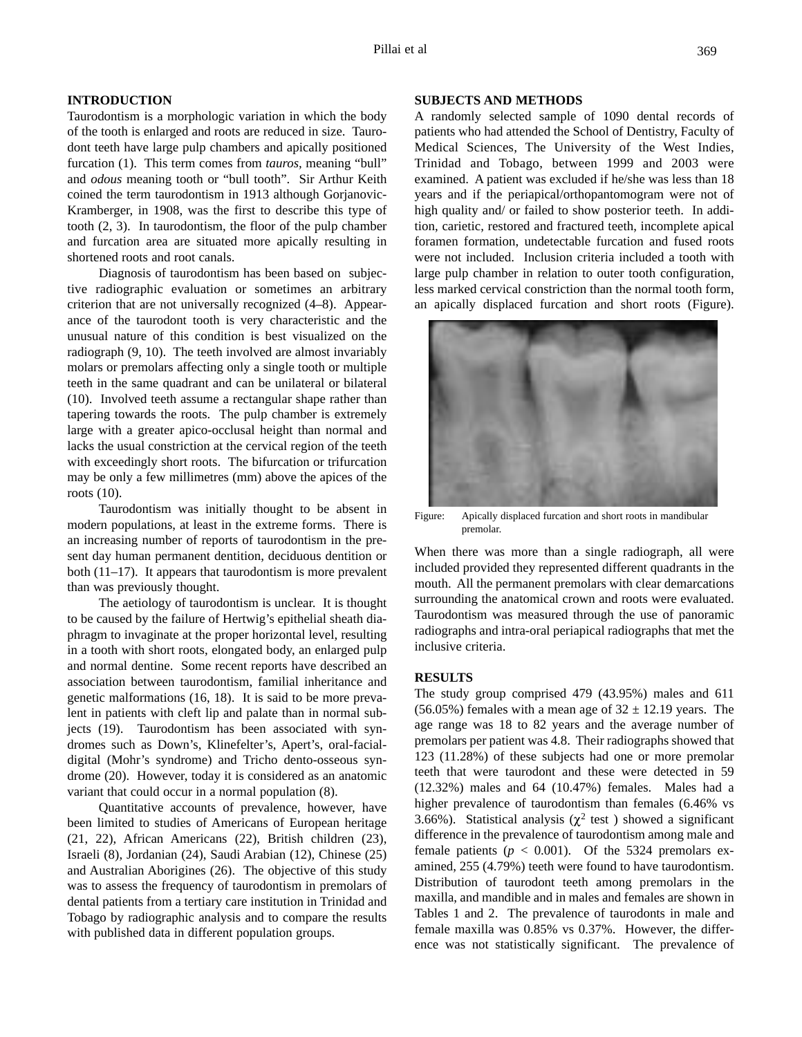## **INTRODUCTION**

Taurodontism is a morphologic variation in which the body of the tooth is enlarged and roots are reduced in size. Taurodont teeth have large pulp chambers and apically positioned furcation (1). This term comes from *tauros,* meaning "bull" and *odous* meaning tooth or "bull tooth". Sir Arthur Keith coined the term taurodontism in 1913 although Gorjanovic-Kramberger, in 1908, was the first to describe this type of tooth (2, 3). In taurodontism, the floor of the pulp chamber and furcation area are situated more apically resulting in shortened roots and root canals.

Diagnosis of taurodontism has been based on subjective radiographic evaluation or sometimes an arbitrary criterion that are not universally recognized (4–8). Appearance of the taurodont tooth is very characteristic and the unusual nature of this condition is best visualized on the radiograph (9, 10). The teeth involved are almost invariably molars or premolars affecting only a single tooth or multiple teeth in the same quadrant and can be unilateral or bilateral (10). Involved teeth assume a rectangular shape rather than tapering towards the roots. The pulp chamber is extremely large with a greater apico-occlusal height than normal and lacks the usual constriction at the cervical region of the teeth with exceedingly short roots. The bifurcation or trifurcation may be only a few millimetres (mm) above the apices of the roots (10).

Taurodontism was initially thought to be absent in modern populations, at least in the extreme forms. There is an increasing number of reports of taurodontism in the present day human permanent dentition, deciduous dentition or both (11–17). It appears that taurodontism is more prevalent than was previously thought.

The aetiology of taurodontism is unclear. It is thought to be caused by the failure of Hertwig's epithelial sheath diaphragm to invaginate at the proper horizontal level, resulting in a tooth with short roots, elongated body, an enlarged pulp and normal dentine. Some recent reports have described an association between taurodontism, familial inheritance and genetic malformations (16, 18). It is said to be more prevalent in patients with cleft lip and palate than in normal subjects (19). Taurodontism has been associated with syndromes such as Down's, Klinefelter's, Apert's, oral-facialdigital (Mohr's syndrome) and Tricho dento-osseous syndrome (20). However, today it is considered as an anatomic variant that could occur in a normal population (8).

Quantitative accounts of prevalence, however, have been limited to studies of Americans of European heritage (21, 22), African Americans (22), British children (23), Israeli (8), Jordanian (24), Saudi Arabian (12), Chinese (25) and Australian Aborigines (26). The objective of this study was to assess the frequency of taurodontism in premolars of dental patients from a tertiary care institution in Trinidad and Tobago by radiographic analysis and to compare the results with published data in different population groups.

### **SUBJECTS AND METHODS**

A randomly selected sample of 1090 dental records of patients who had attended the School of Dentistry, Faculty of Medical Sciences, The University of the West Indies, Trinidad and Tobago, between 1999 and 2003 were examined. A patient was excluded if he/she was less than 18 years and if the periapical/orthopantomogram were not of high quality and/ or failed to show posterior teeth. In addition, carietic, restored and fractured teeth, incomplete apical foramen formation, undetectable furcation and fused roots were not included. Inclusion criteria included a tooth with large pulp chamber in relation to outer tooth configuration, less marked cervical constriction than the normal tooth form, an apically displaced furcation and short roots (Figure).



Figure: Apically displaced furcation and short roots in mandibular premolar.

When there was more than a single radiograph, all were included provided they represented different quadrants in the mouth. All the permanent premolars with clear demarcations surrounding the anatomical crown and roots were evaluated. Taurodontism was measured through the use of panoramic radiographs and intra-oral periapical radiographs that met the inclusive criteria.

## **RESULTS**

The study group comprised 479 (43.95%) males and 611 (56.05%) females with a mean age of  $32 \pm 12.19$  years. The age range was 18 to 82 years and the average number of premolars per patient was 4.8. Their radiographs showed that 123 (11.28%) of these subjects had one or more premolar teeth that were taurodont and these were detected in 59 (12.32%) males and 64 (10.47%) females. Males had a higher prevalence of taurodontism than females (6.46% vs 3.66%). Statistical analysis ( $\chi^2$  test) showed a significant difference in the prevalence of taurodontism among male and female patients ( $p < 0.001$ ). Of the 5324 premolars examined, 255 (4.79%) teeth were found to have taurodontism. Distribution of taurodont teeth among premolars in the maxilla, and mandible and in males and females are shown in Tables 1 and 2. The prevalence of taurodonts in male and female maxilla was 0.85% vs 0.37%. However, the difference was not statistically significant. The prevalence of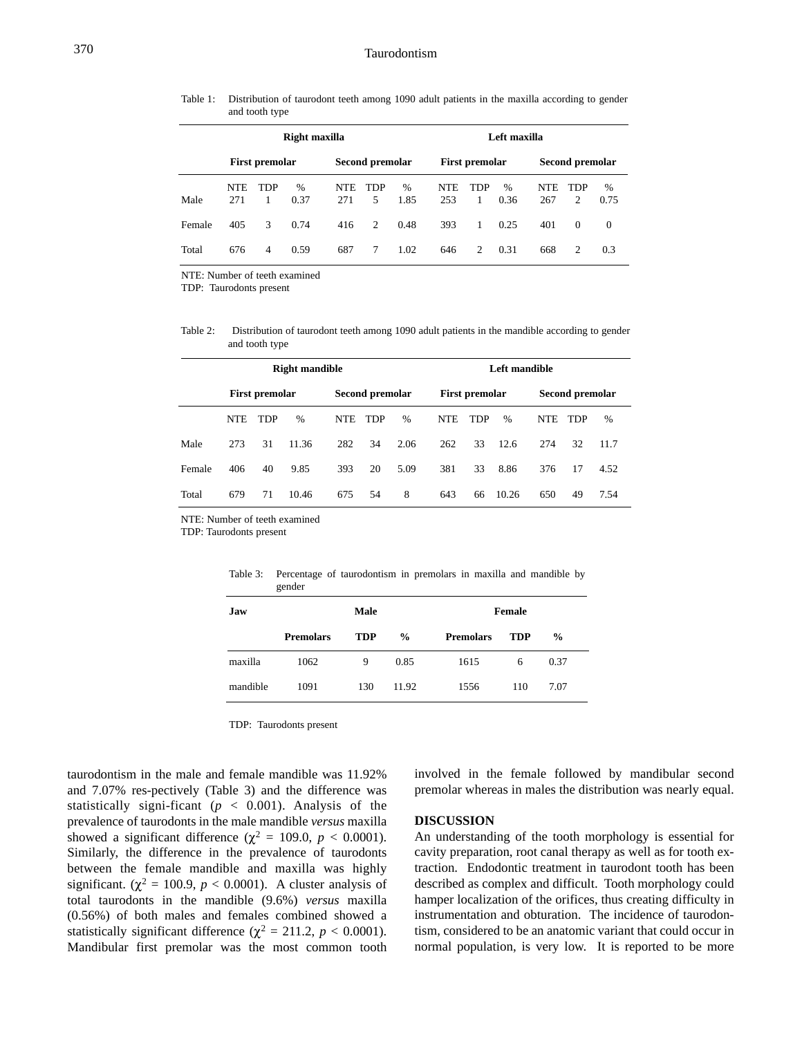Table 1: Distribution of taurodont teeth among 1090 adult patients in the maxilla according to gender and tooth type

|        | Right maxilla     |            |              |                   |                 |              |            | Left maxilla    |                       |                   |                 |              |  |
|--------|-------------------|------------|--------------|-------------------|-----------------|--------------|------------|-----------------|-----------------------|-------------------|-----------------|--------------|--|
|        | First premolar    |            |              |                   | Second premolar |              |            | First premolar  |                       |                   | Second premolar |              |  |
| Male   | <b>NTE</b><br>271 | <b>TDP</b> | $\%$<br>0.37 | <b>NTE</b><br>271 | <b>TDP</b><br>5 | $\%$<br>1.85 | NTE<br>253 | <b>TDP</b><br>1 | $\frac{0}{0}$<br>0.36 | <b>NTE</b><br>267 | TDP<br>2        | $\%$<br>0.75 |  |
| Female | 405               | 3          | 0.74         | 416               | 2               | 0.48         | 393        | $\mathbf{1}$    | 0.25                  | 401               | $\Omega$        | $\Omega$     |  |
| Total  | 676               | 4          | 0.59         | 687               | 7               | 1.02         | 646        | 2               | 0.31                  | 668               | 2               | 0.3          |  |

NTE: Number of teeth examined

TDP: Taurodonts present

Table 2: Distribution of taurodont teeth among 1090 adult patients in the mandible according to gender and tooth type

|        | <b>Right mandible</b> |            |       |            |                 |      |  | Left mandible  |            |               |                 |     |      |  |
|--------|-----------------------|------------|-------|------------|-----------------|------|--|----------------|------------|---------------|-----------------|-----|------|--|
|        | <b>First premolar</b> |            |       |            | Second premolar |      |  | First premolar |            |               | Second premolar |     |      |  |
|        | <b>NTE</b>            | <b>TDP</b> | %     | <b>NTE</b> | <b>TDP</b>      | $\%$ |  | <b>NTE</b>     | <b>TDP</b> | $\frac{0}{0}$ | <b>NTE</b>      | TDP | %    |  |
| Male   | 273                   | 31         | 11.36 | 282        | 34              | 2.06 |  | 262            | 33         | 12.6          | 274             | 32  | 11.7 |  |
| Female | 406                   | 40         | 9.85  | 393        | 20              | 5.09 |  | 381            | 33         | 8.86          | 376             | 17  | 4.52 |  |
| Total  | 679                   | 71         | 10.46 | 675        | 54              | 8    |  | 643            | 66         | 10.26         | 650             | 49  | 7.54 |  |

NTE: Number of teeth examined

TDP: Taurodonts present

|          | gender           |            |               |                  |            |               |  |  |  |  |  |  |  |
|----------|------------------|------------|---------------|------------------|------------|---------------|--|--|--|--|--|--|--|
| Jaw      |                  | Male       |               | Female           |            |               |  |  |  |  |  |  |  |
|          | <b>Premolars</b> | <b>TDP</b> | $\frac{0}{0}$ | <b>Premolars</b> | <b>TDP</b> | $\frac{0}{0}$ |  |  |  |  |  |  |  |
| maxilla  | 1062             | 9          | 0.85          | 1615             | 6          | 0.37          |  |  |  |  |  |  |  |
| mandible | 1091             | 130        | 11.92         | 1556             | 110        | 7.07          |  |  |  |  |  |  |  |

Table 3: Percentage of taurodontism in premolars in maxilla and mandible by gender

TDP: Taurodonts present

taurodontism in the male and female mandible was 11.92% and 7.07% res-pectively (Table 3) and the difference was statistically signi-ficant ( $p < 0.001$ ). Analysis of the prevalence of taurodonts in the male mandible *versus* maxilla showed a significant difference ( $\chi^2 = 109.0$ ,  $p < 0.0001$ ). Similarly, the difference in the prevalence of taurodonts between the female mandible and maxilla was highly significant. ( $\chi^2$  = 100.9, *p* < 0.0001). A cluster analysis of total taurodonts in the mandible (9.6%) *versus* maxilla (0.56%) of both males and females combined showed a statistically significant difference ( $\chi^2 = 211.2$ ,  $p < 0.0001$ ). Mandibular first premolar was the most common tooth involved in the female followed by mandibular second premolar whereas in males the distribution was nearly equal.

## **DISCUSSION**

An understanding of the tooth morphology is essential for cavity preparation, root canal therapy as well as for tooth extraction. Endodontic treatment in taurodont tooth has been described as complex and difficult. Tooth morphology could hamper localization of the orifices, thus creating difficulty in instrumentation and obturation. The incidence of taurodontism, considered to be an anatomic variant that could occur in normal population, is very low. It is reported to be more